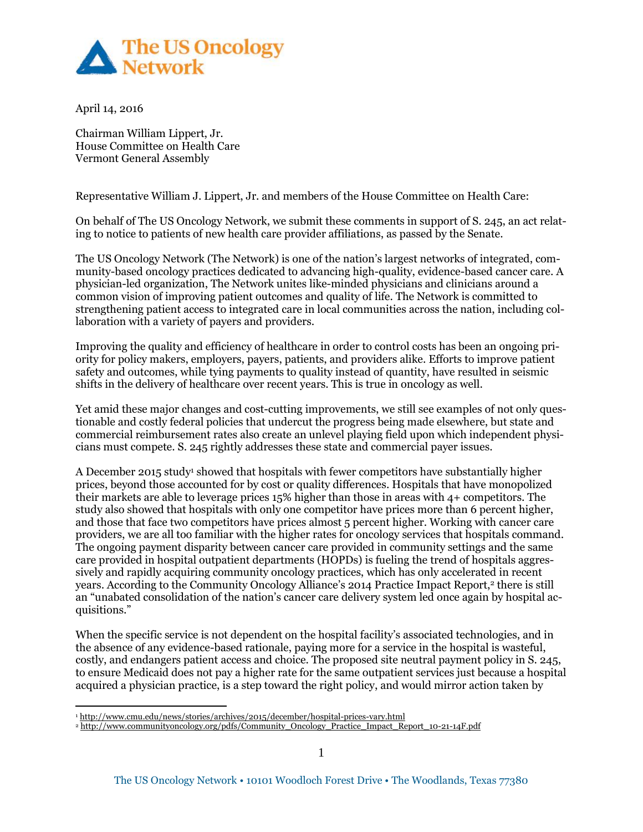

April 14, 2016

 $\overline{a}$ 

Chairman William Lippert, Jr. House Committee on Health Care Vermont General Assembly

Representative William J. Lippert, Jr. and members of the House Committee on Health Care:

On behalf of The US Oncology Network, we submit these comments in support of S. 245, an act relating to notice to patients of new health care provider affiliations, as passed by the Senate.

The US Oncology Network (The Network) is one of the nation's largest networks of integrated, community-based oncology practices dedicated to advancing high-quality, evidence-based cancer care. A physician-led organization, The Network unites like-minded physicians and clinicians around a common vision of improving patient outcomes and quality of life. The Network is committed to strengthening patient access to integrated care in local communities across the nation, including collaboration with a variety of payers and providers.

Improving the quality and efficiency of healthcare in order to control costs has been an ongoing priority for policy makers, employers, payers, patients, and providers alike. Efforts to improve patient safety and outcomes, while tying payments to quality instead of quantity, have resulted in seismic shifts in the delivery of healthcare over recent years. This is true in oncology as well.

Yet amid these major changes and cost-cutting improvements, we still see examples of not only questionable and costly federal policies that undercut the progress being made elsewhere, but state and commercial reimbursement rates also create an unlevel playing field upon which independent physicians must compete. S. 245 rightly addresses these state and commercial payer issues.

A December 2015 study<sup>1</sup> showed that hospitals with fewer competitors have substantially higher prices, beyond those accounted for by cost or quality differences. Hospitals that have monopolized their markets are able to leverage prices 15% higher than those in areas with 4+ competitors. The study also showed that hospitals with only one competitor have prices more than 6 percent higher, and those that face two competitors have prices almost 5 percent higher. Working with cancer care providers, we are all too familiar with the higher rates for oncology services that hospitals command. The ongoing payment disparity between cancer care provided in community settings and the same care provided in hospital outpatient departments (HOPDs) is fueling the trend of hospitals aggressively and rapidly acquiring community oncology practices, which has only accelerated in recent years. According to the Community Oncology Alliance's 2014 Practice Impact Report,<sup>2</sup> there is still an "unabated consolidation of the nation's cancer care delivery system led once again by hospital acquisitions."

When the specific service is not dependent on the hospital facility's associated technologies, and in the absence of any evidence-based rationale, paying more for a service in the hospital is wasteful, costly, and endangers patient access and choice. The proposed site neutral payment policy in S. 245, to ensure Medicaid does not pay a higher rate for the same outpatient services just because a hospital acquired a physician practice, is a step toward the right policy, and would mirror action taken by

<sup>1</sup> <http://www.cmu.edu/news/stories/archives/2015/december/hospital-prices-vary.html>

<sup>2</sup> [http://www.communityoncology.org/pdfs/Community\\_Oncology\\_Practice\\_Impact\\_Report\\_10-21-14F.pdf](http://www.communityoncology.org/pdfs/Community_Oncology_Practice_Impact_Report_10-21-14F.pdf)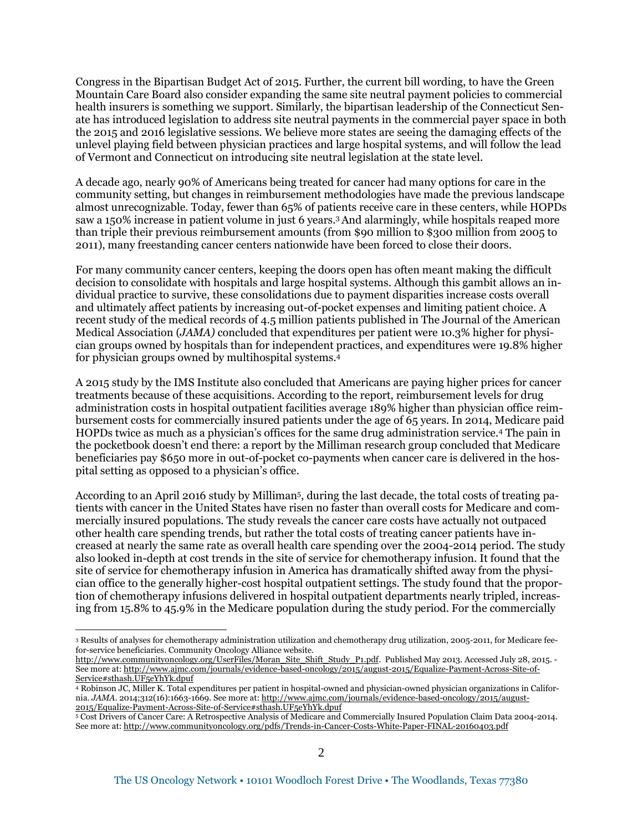Congress in the Bipartisan Budget Act of 2015. Further, the current bill wording, to have the Green Mountain Care Board also consider expanding the same site neutral payment policies to commercial health insurers is something we support. Similarly, the bipartisan leadership of the Connecticut Senate has introduced legislation to address site neutral payments in the commercial payer space in both the 2015 and 2016 legislative sessions. We believe more states are seeing the damaging effects of the unlevel playing field between physician practices and large hospital systems, and will follow the lead of Vermont and Connecticut on introducing site neutral legislation at the state level.

A decade ago, nearly 90% of Americans being treated for cancer had many options for care in the community setting, but changes in reimbursement methodologies have made the previous landscape almost unrecognizable. Today, fewer than 65% of patients receive care in these centers, while HOPDs saw a 150% increase in patient volume in just 6 years.<sup>3</sup>And alarmingly, while hospitals reaped more than triple their previous reimbursement amounts (from \$90 million to \$300 million from 2005 to 2011), many freestanding cancer centers nationwide have been forced to close their doors.

For many community cancer centers, keeping the doors open has often meant making the difficult decision to consolidate with hospitals and large hospital systems. Although this gambit allows an individual practice to survive, these consolidations due to payment disparities increase costs overall and ultimately affect patients by increasing out-of-pocket expenses and limiting patient choice. A recent study of the medical records of 4.5 million patients published in The Journal of the American Medical Association (*JAMA)* concluded that expenditures per patient were 10.3% higher for physician groups owned by hospitals than for independent practices, and expenditures were 19.8% higher for physician groups owned by multihospital systems.<sup>4</sup>

A 2015 study by the IMS Institute also concluded that Americans are paying higher prices for cancer treatments because of these acquisitions. According to the report, reimbursement levels for drug administration costs in hospital outpatient facilities average 189% higher than physician office reimbursement costs for commercially insured patients under the age of 65 years. In 2014, Medicare paid HOPDs twice as much as a physician's offices for the same drug administration service.<sup>4</sup> The pain in the pocketbook doesn't end there: a report by the Milliman research group concluded that Medicare beneficiaries pay \$650 more in out-of-pocket co-payments when cancer care is delivered in the hospital setting as opposed to a physician's office.

According to an April 2016 study by Milliman<sup>5</sup>, during the last decade, the total costs of treating patients with cancer in the United States have risen no faster than overall costs for Medicare and commercially insured populations. The study reveals the cancer care costs have actually not outpaced other health care spending trends, but rather the total costs of treating cancer patients have increased at nearly the same rate as overall health care spending over the 2004-2014 period. The study also looked in-depth at cost trends in the site of service for chemotherapy infusion. It found that the site of service for chemotherapy infusion in America has dramatically shifted away from the physician office to the generally higher-cost hospital outpatient settings. The study found that the proportion of chemotherapy infusions delivered in hospital outpatient departments nearly tripled, increasing from 15.8% to 45.9% in the Medicare population during the study period. For the commercially

 $\overline{a}$ 

<sup>3</sup> Results of analyses for chemotherapy administration utilization and chemotherapy drug utilization, 2005-2011, for Medicare feefor-service beneficiaries. Community Oncology Alliance website.

[http://www.communityoncology.org/UserFiles/Moran\\_Site\\_Shift\\_Study\\_P1.pdf.](http://www.communityoncology.org/UserFiles/Moran_Site_Shift_Study_P1.pdf) Published May 2013. Accessed July 28, 2015. - See more at: [http://www.ajmc.com/journals/evidence-based-oncology/2015/august-2015/Equalize-Payment-Across-Site-of-](http://www.ajmc.com/journals/evidence-based-oncology/2015/august-2015/Equalize-Payment-Across-Site-of-Service#sthash.UF5eYhYk.dpuf)[Service#sthash.UF5eYhYk.dpuf](http://www.ajmc.com/journals/evidence-based-oncology/2015/august-2015/Equalize-Payment-Across-Site-of-Service#sthash.UF5eYhYk.dpuf)

<sup>4</sup> Robinson JC, Miller K. Total expenditures per patient in hospital-owned and physician-owned physician organizations in California. *JAMA*. 2014;312(16):1663-1669. See more at: [http://www.ajmc.com/journals/evidence-based-oncology/2015/august-](http://www.ajmc.com/journals/evidence-based-oncology/2015/august-2015/Equalize-Payment-Across-Site-of-Service#sthash.UF5eYhYk.dpuf)[2015/Equalize-Payment-Across-Site-of-Service#sthash.UF5eYhYk.dpuf](http://www.ajmc.com/journals/evidence-based-oncology/2015/august-2015/Equalize-Payment-Across-Site-of-Service#sthash.UF5eYhYk.dpuf)

<sup>5</sup> Cost Drivers of Cancer Care: A Retrospective Analysis of Medicare and Commercially Insured Population Claim Data 2004-2014. See more at: <http://www.communityoncology.org/pdfs/Trends-in-Cancer-Costs-White-Paper-FINAL-20160403.pdf>